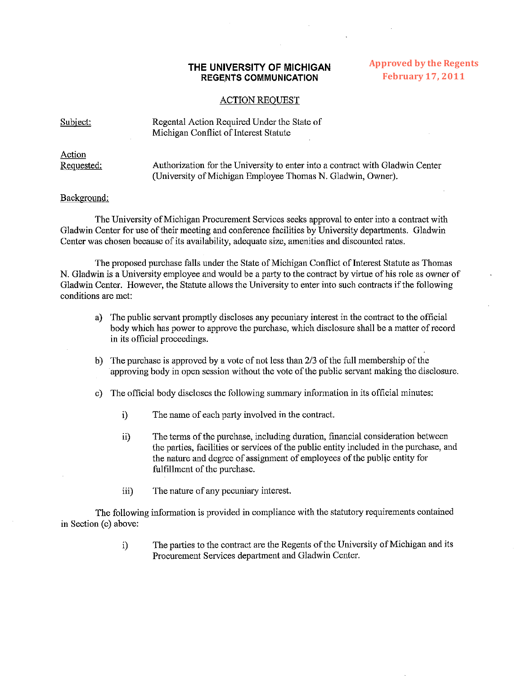## **THE UNIVERSITY OF MICHIGAN REGENTS COMMUNICATION**

## **Approved by the Regents February 17, 2011**

## ACTION REOUEST

Subiect: Regental Action Required Under the State of Michigan Conflict of Interest Statute

*Action*  Requested: Authorization for the University to enter into a contract with Gladwin Center (University of Michigan Employee Thomas N. Gladwin, Owner)

## Background:

The University of Michigan Procurement Services seeks approval to enter into a contract with Gladwin Center for use of their meeting and conference facilities by University departments. Gladwin Center was chosen because of its availability, adequate size, amenities and discounted rates.

The proposed purchase falls under the State of Michigan Conflict of Interest Statute as Thomas N. Gladwin is a University employee and would be a party to the contract by virtue of his role as owner of Gladwin Center. However, the Statute allows the University to enter into such contracts if the following conditions are met:

- a) The public servant promptly discloses any pecuniary interest in the contract to the official body which has power to approve the purchase, which disclosure shall he a matter of record in its official proceedings.
- b) The purchase is approved by a vote of not less than *213* of the full membership of the approving body in open session without the vote of the public servant making the disclosure.
- c) The official body discloses the following summary infonnation in its official minutes:
	- i) The name of each party involved in the contract.
	- ii) The terms of the purchase, including duration, financial consideration between the parties, facilities or services of the public entity included in the purchase, and the nature and degree of assignment of employees of the public entity for fulfillment of the purchase.
	- iii) The nature of any pecuniary interest.

The following information is provided in compliance with the statutory requirements contained in Section (c) above:

> i) The parties to the contract are the Regents of the University of Michigan and its Procurement Services department and Gladwin Center.